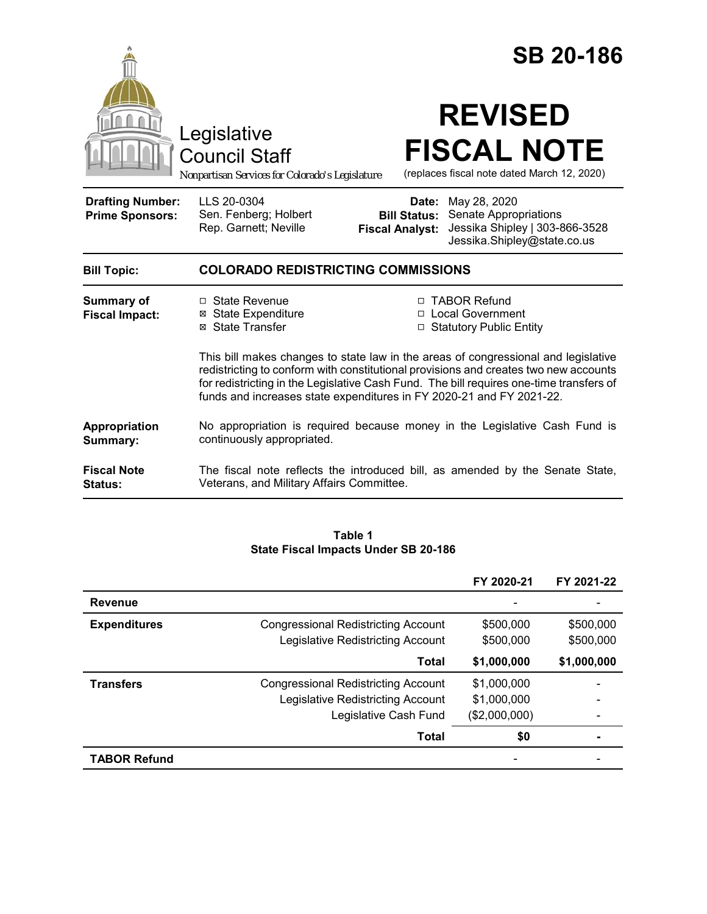|                                                   | <b>SB 20-186</b><br><b>REVISED</b><br>Legislative<br><b>FISCAL NOTE</b><br><b>Council Staff</b><br>(replaces fiscal note dated March 12, 2020)<br>Nonpartisan Services for Colorado's Legislature                                                       |  |  |  |
|---------------------------------------------------|---------------------------------------------------------------------------------------------------------------------------------------------------------------------------------------------------------------------------------------------------------|--|--|--|
| <b>Drafting Number:</b><br><b>Prime Sponsors:</b> | LLS 20-0304<br>May 28, 2020<br>Date:<br>Sen. Fenberg; Holbert<br>Senate Appropriations<br><b>Bill Status:</b><br>Rep. Garnett; Neville<br>Jessika Shipley   303-866-3528<br><b>Fiscal Analyst:</b><br>Jessika.Shipley@state.co.us                       |  |  |  |
| <b>Bill Topic:</b>                                | <b>COLORADO REDISTRICTING COMMISSIONS</b>                                                                                                                                                                                                               |  |  |  |
| <b>Summary of</b><br><b>Fiscal Impact:</b>        | □ State Revenue<br>□ TABOR Refund<br>□ Local Government<br><b>⊠ State Expenditure</b><br>⊠ State Transfer<br>□ Statutory Public Entity<br>This bill makes changes to state law in the areas of congressional and legislative                            |  |  |  |
|                                                   | redistricting to conform with constitutional provisions and creates two new accounts<br>for redistricting in the Legislative Cash Fund. The bill requires one-time transfers of<br>funds and increases state expenditures in FY 2020-21 and FY 2021-22. |  |  |  |
| Appropriation<br>Summary:                         | No appropriation is required because money in the Legislative Cash Fund is<br>continuously appropriated.                                                                                                                                                |  |  |  |
| <b>Fiscal Note</b><br><b>Status:</b>              | The fiscal note reflects the introduced bill, as amended by the Senate State,<br>Veterans, and Military Affairs Committee.                                                                                                                              |  |  |  |

#### **Table 1 State Fiscal Impacts Under SB 20-186**

|                     |                                            | FY 2020-21    | FY 2021-22  |
|---------------------|--------------------------------------------|---------------|-------------|
| <b>Revenue</b>      |                                            |               |             |
| <b>Expenditures</b> | <b>Congressional Redistricting Account</b> | \$500,000     | \$500,000   |
|                     | Legislative Redistricting Account          | \$500,000     | \$500,000   |
|                     | Total                                      | \$1,000,000   | \$1,000,000 |
| <b>Transfers</b>    | <b>Congressional Redistricting Account</b> | \$1,000,000   |             |
|                     | Legislative Redistricting Account          | \$1,000,000   |             |
|                     | Legislative Cash Fund                      | (\$2,000,000) |             |
|                     | Total                                      | \$0           |             |
| <b>TABOR Refund</b> |                                            |               |             |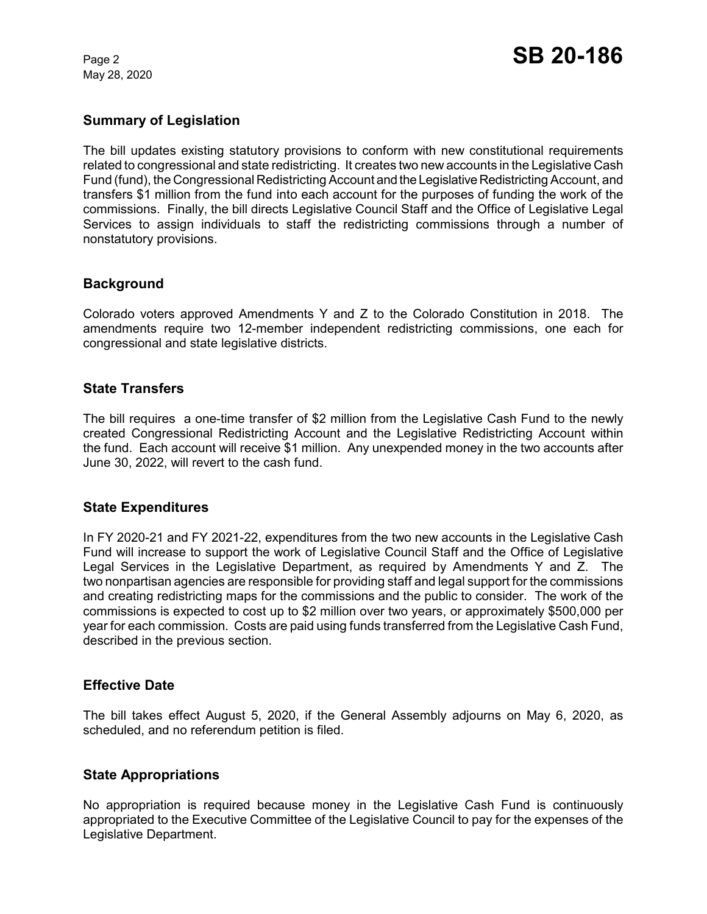May 28, 2020

# **Summary of Legislation**

The bill updates existing statutory provisions to conform with new constitutional requirements related to congressional and state redistricting. It creates two new accounts in the Legislative Cash Fund (fund), the Congressional Redistricting Account and the Legislative Redistricting Account, and transfers \$1 million from the fund into each account for the purposes of funding the work of the commissions. Finally, the bill directs Legislative Council Staff and the Office of Legislative Legal Services to assign individuals to staff the redistricting commissions through a number of nonstatutory provisions.

## **Background**

Colorado voters approved Amendments Y and Z to the Colorado Constitution in 2018. The amendments require two 12-member independent redistricting commissions, one each for congressional and state legislative districts.

## **State Transfers**

The bill requires a one-time transfer of \$2 million from the Legislative Cash Fund to the newly created Congressional Redistricting Account and the Legislative Redistricting Account within the fund. Each account will receive \$1 million. Any unexpended money in the two accounts after June 30, 2022, will revert to the cash fund.

## **State Expenditures**

In FY 2020-21 and FY 2021-22, expenditures from the two new accounts in the Legislative Cash Fund will increase to support the work of Legislative Council Staff and the Office of Legislative Legal Services in the Legislative Department, as required by Amendments Y and Z. The two nonpartisan agencies are responsible for providing staff and legal support for the commissions and creating redistricting maps for the commissions and the public to consider. The work of the commissions is expected to cost up to \$2 million over two years, or approximately \$500,000 per year for each commission. Costs are paid using funds transferred from the Legislative Cash Fund, described in the previous section.

## **Effective Date**

The bill takes effect August 5, 2020, if the General Assembly adjourns on May 6, 2020, as scheduled, and no referendum petition is filed.

## **State Appropriations**

No appropriation is required because money in the Legislative Cash Fund is continuously appropriated to the Executive Committee of the Legislative Council to pay for the expenses of the Legislative Department.